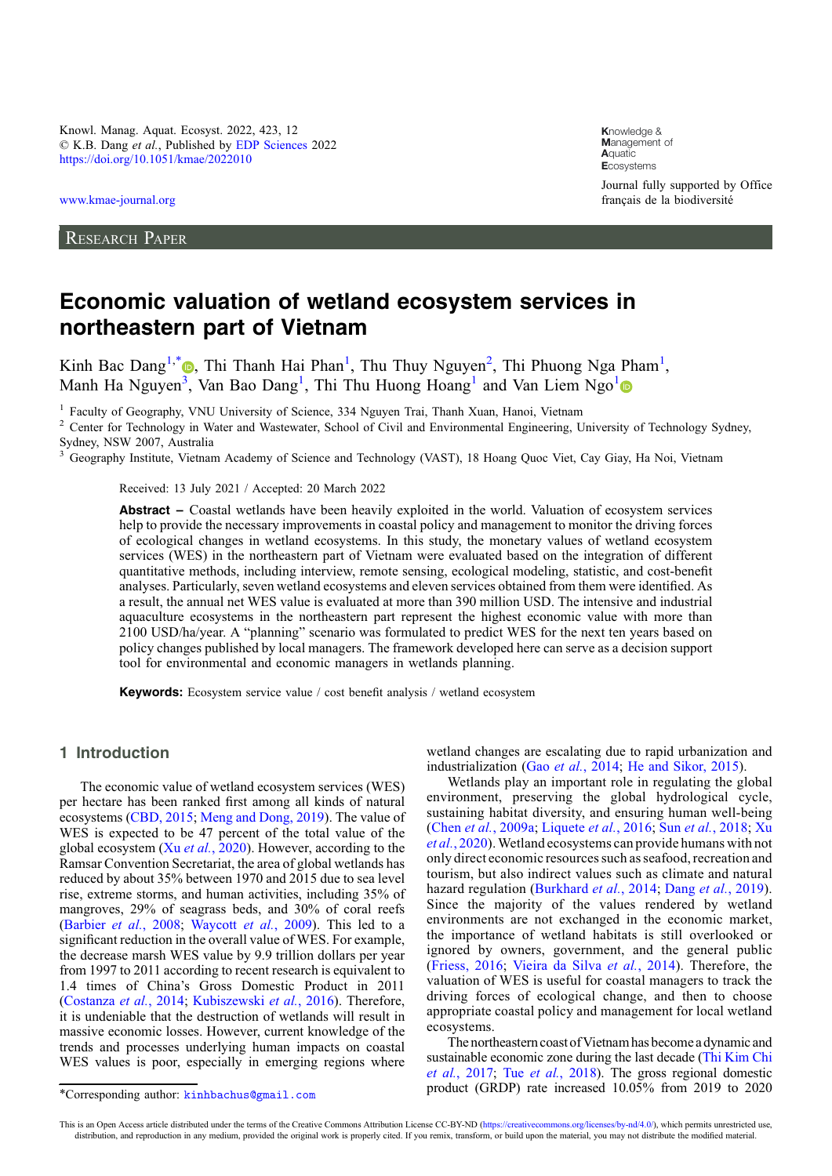<span id="page-0-0"></span>Knowl. Manag. Aquat. Ecosyst. 2022, 423, 12 © K.B. Dang et al., Published by [EDP Sciences](https://www.edpsciences.org) 2022 <https://doi.org/10.1051/kmae/2022010>

[www.kmae-journal.org](https://www.kmae-journal.org)

RESEARCH PAPER

**K**nowledge & **M**anagement of **A**quatic **E**cosystems Journal fully supported by Office français de la biodiversité

# Economic valuation of wetland ecosystem services in northeastern part of Vietnam

Kinh Bac Dang<sup>1,\*</sup> •, Thi Thanh Hai Phan<sup>1</sup>, Thu Thuy Nguyen<sup>2</sup>, Thi Phuong Nga Pham<sup>1</sup>, Manh Ha Nguyen<sup>[3](https://orcid.org/0000-0002-8329-3181)</sup>, Van Bao Dang<sup>1</sup>, Thi Thu Huong Hoang<sup>1</sup> and Van Liem Ngo<sup>1</sup>

<sup>1</sup> Faculty of Geography, VNU University of Science, 334 Nguyen Trai, Thanh Xuan, Hanoi, Vietnam <sup>2</sup> Center for Technology in Water and Wastewater, School of Civil and Environmental Engineering, University of Technology Sy Sydney, NSW 2007, Australia

<sup>3</sup> Geography Institute, Vietnam Academy of Science and Technology (VAST), 18 Hoang Quoc Viet, Cay Giay, Ha Noi, Vietnam

Received: 13 July 2021 / Accepted: 20 March 2022

Abstract – Coastal wetlands have been heavily exploited in the world. Valuation of ecosystem services help to provide the necessary improvements in coastal policy and management to monitor the driving forces of ecological changes in wetland ecosystems. In this study, the monetary values of wetland ecosystem services (WES) in the northeastern part of Vietnam were evaluated based on the integration of different quantitative methods, including interview, remote sensing, ecological modeling, statistic, and cost-benefit analyses. Particularly, seven wetland ecosystems and eleven services obtained from them were identified. As a result, the annual net WES value is evaluated at more than 390 million USD. The intensive and industrial aquaculture ecosystems in the northeastern part represent the highest economic value with more than 2100 USD/ha/year. A "planning" scenario was formulated to predict WES for the next ten years based on policy changes published by local managers. The framework developed here can serve as a decision support tool for environmental and economic managers in wetlands planning.

Keywords: Ecosystem service value / cost benefit analysis / wetland ecosystem

# 1 Introduction

The economic value of wetland ecosystem services (WES) per hectare has been ranked first among all kinds of natural ecosystems [\(CBD, 2015](#page-11-0); [Meng and Dong, 2019](#page-12-0)). The value of WES is expected to be 47 percent of the total value of the global ecosystem (Xu *et al.*[, 2020](#page-13-0)). However, according to the Ramsar Convention Secretariat, the area of global wetlands has reduced by about 35% between 1970 and 2015 due to sea level rise, extreme storms, and human activities, including 35% of mangroves, 29% of seagrass beds, and 30% of coral reefs ([Barbier](#page-11-0) et al., 2008; [Waycott](#page-13-0) et al., 2009). This led to a significant reduction in the overall value of WES. For example, the decrease marsh WES value by 9.9 trillion dollars per year from 1997 to 2011 according to recent research is equivalent to 1.4 times of China's Gross Domestic Product in 2011 ([Costanza](#page-11-0) et al., 2014; [Kubiszewski](#page-12-0) et al., 2016). Therefore, it is undeniable that the destruction of wetlands will result in massive economic losses. However, current knowledge of the trends and processes underlying human impacts on coastal WES values is poor, especially in emerging regions where wetland changes are escalating due to rapid urbanization and industrialization (Gao et al.[, 2014](#page-12-0); [He and Sikor, 2015\)](#page-12-0).

Wetlands play an important role in regulating the global environment, preserving the global hydrological cycle, sustaining habitat diversity, and ensuring human well-being (Chen et al.[, 2009a;](#page-11-0) [Liquete](#page-12-0) et al., 2016; Sun et al.[, 2018](#page-13-0); [Xu](#page-13-0) et al.[, 2020](#page-13-0)).Wetland ecosystems can provide humans with not only direct economic resources such as seafood, recreation and tourism, but also indirect values such as climate and natural hazard regulation ([Burkhard](#page-11-0) et al., 2014; Dang et al.[, 2019\)](#page-11-0). Since the majority of the values rendered by wetland environments are not exchanged in the economic market, the importance of wetland habitats is still overlooked or ignored by owners, government, and the general public ([Friess, 2016](#page-11-0); [Vieira da Silva](#page-13-0) et al., 2014). Therefore, the valuation of WES is useful for coastal managers to track the driving forces of ecological change, and then to choose appropriate coastal policy and management for local wetland ecosystems.

The northeastern coast of Vietnam has become a dynamic and sustainable economic zone during the last decade ([Thi Kim Chi](#page-13-0) et al.[, 2017](#page-13-0); Tue et al.[, 2018\)](#page-13-0). The gross regional domestic \*Corresponding author: [kinhbachus@gmail.com](mailto:kinhbachus@gmail.com) product (GRDP) rate increased 10.05% from 2019 to 2020

This is an Open Access article distributed under the terms of the Creative Commons Attribution License CC-BY-ND ([https://creativecommons.org/licenses/by-nd/4.0/\)](https://creativecommons.org/licenses/by-nd/4.0/), which permits unrestricted use, distribution, and reproduction in any medium, provided the original work is properly cited. If you remix, transform, or build upon the material, you may not distribute the modified material.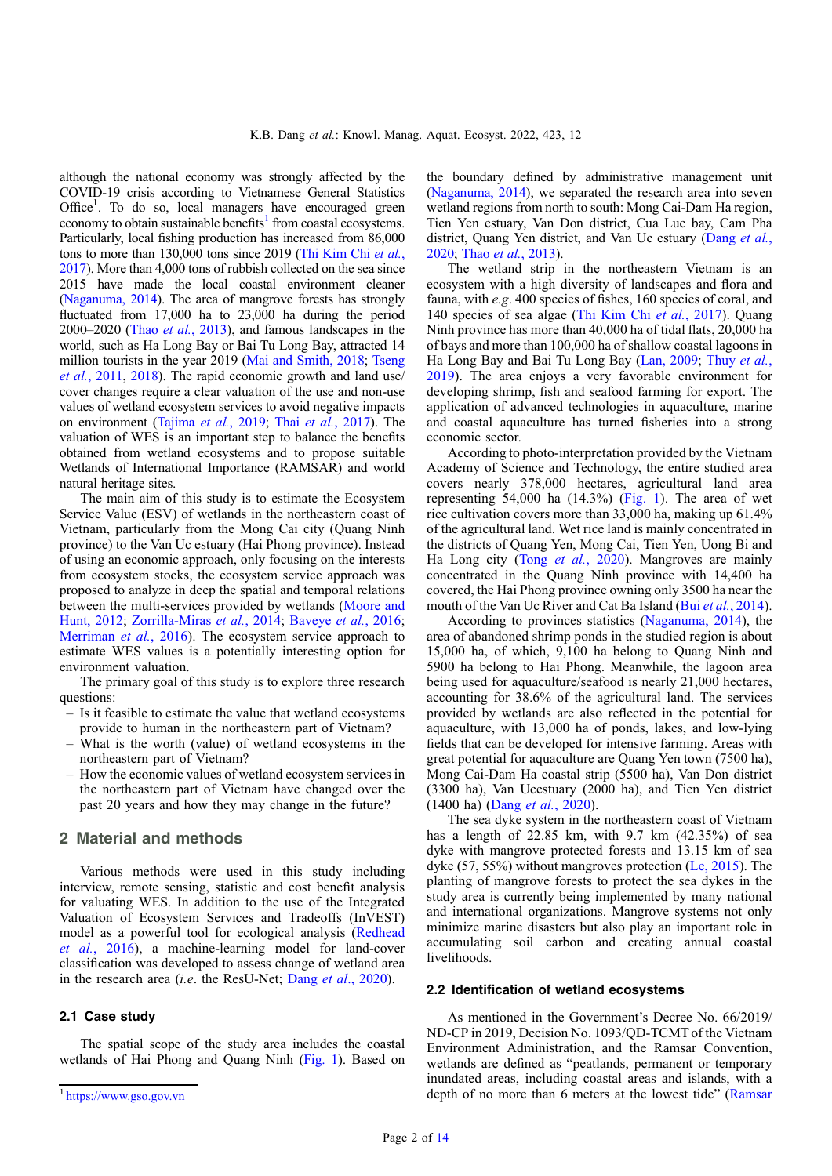although the national economy was strongly affected by the COVID-19 crisis according to Vietnamese General Statistics Office<sup>1</sup>. To do so, local managers have encouraged green economy to obtain sustainable benefits $<sup>1</sup>$  from coastal ecosystems.</sup> Particularly, local fishing production has increased from 86,000 tons to more than 130,000 tons since 2019 ([Thi Kim Chi](#page-13-0) et al., [2017\)](#page-13-0). More than 4,000 tons of rubbish collected on the sea since 2015 have made the local coastal environment cleaner ([Naganuma, 2014](#page-12-0)). The area of mangrove forests has strongly fluctuated from 17,000 ha to 23,000 ha during the period 2000–2020 (Thao et al.[, 2013](#page-13-0)), and famous landscapes in the world, such as Ha Long Bay or Bai Tu Long Bay, attracted 14 million tourists in the year 2019 [\(Mai and Smith, 2018;](#page-12-0) [Tseng](#page-13-0) et al.[, 2011,](#page-13-0) [2018](#page-13-0)). The rapid economic growth and land use/ cover changes require a clear valuation of the use and non-use values of wetland ecosystem services to avoid negative impacts on environment ([Tajima](#page-13-0) et al., 2019; Thai et al.[, 2017](#page-13-0)). The valuation of WES is an important step to balance the benefits obtained from wetland ecosystems and to propose suitable Wetlands of International Importance (RAMSAR) and world natural heritage sites.

The main aim of this study is to estimate the Ecosystem Service Value (ESV) of wetlands in the northeastern coast of Vietnam, particularly from the Mong Cai city (Quang Ninh province) to the Van Uc estuary (Hai Phong province). Instead of using an economic approach, only focusing on the interests from ecosystem stocks, the ecosystem service approach was proposed to analyze in deep the spatial and temporal relations between the multi-services provided by wetlands ([Moore and](#page-12-0) [Hunt, 2012](#page-12-0); [Zorrilla-Miras](#page-13-0) et al., 2014; [Baveye](#page-11-0) et al., 2016; [Merriman](#page-12-0) *et al.*, 2016). The ecosystem service approach to estimate WES values is a potentially interesting option for environment valuation.

The primary goal of this study is to explore three research questions:

- Is it feasible to estimate the value that wetland ecosystems provide to human in the northeastern part of Vietnam?
- What is the worth (value) of wetland ecosystems in the northeastern part of Vietnam?
- How the economic values of wetland ecosystem services in the northeastern part of Vietnam have changed over the past 20 years and how they may change in the future?

# 2 Material and methods

Various methods were used in this study including interview, remote sensing, statistic and cost benefit analysis for valuating WES. In addition to the use of the Integrated Valuation of Ecosystem Services and Tradeoffs (InVEST) model as a powerful tool for ecological analysis ([Redhead](#page-12-0) et al.[, 2016](#page-12-0)), a machine-learning model for land-cover classification was developed to assess change of wetland area in the research area *(i.e.* the ResU-Net; Dang *et al.*, 2020).

## 2.1 Case study

The spatial scope of the study area includes the coastal wetlands of Hai Phong and Quang Ninh [\(Fig. 1\)](#page-2-0). Based on the boundary defined by administrative management unit ([Naganuma, 2014](#page-12-0)), we separated the research area into seven wetland regions from north to south: Mong Cai-Dam Ha region, Tien Yen estuary, Van Don district, Cua Luc bay, Cam Pha district, Quang Yen district, and Van Uc estuary [\(Dang](#page-11-0) et al., [2020;](#page-11-0) Thao et al.[, 2013\)](#page-13-0).

The wetland strip in the northeastern Vietnam is an ecosystem with a high diversity of landscapes and flora and fauna, with e.g. 400 species of fishes, 160 species of coral, and 140 species of sea algae ([Thi Kim Chi](#page-13-0) et al., 2017). Quang Ninh province has more than 40,000 ha of tidal flats, 20,000 ha of bays and more than 100,000 ha of shallow coastal lagoons in Ha Long Bay and Bai Tu Long Bay ([Lan, 2009;](#page-12-0) [Thuy](#page-13-0) et al., [2019](#page-13-0)). The area enjoys a very favorable environment for developing shrimp, fish and seafood farming for export. The application of advanced technologies in aquaculture, marine and coastal aquaculture has turned fisheries into a strong economic sector.

According to photo-interpretation provided by the Vietnam Academy of Science and Technology, the entire studied area covers nearly 378,000 hectares, agricultural land area representing  $54,000$  ha  $(14.3%)$  ([Fig. 1\)](#page-2-0). The area of wet rice cultivation covers more than 33,000 ha, making up 61.4% of the agricultural land. Wet rice land is mainly concentrated in the districts of Quang Yen, Mong Cai, Tien Yen, Uong Bi and Ha Long city (Tong et al.[, 2020](#page-13-0)). Mangroves are mainly concentrated in the Quang Ninh province with 14,400 ha covered, the Hai Phong province owning only 3500 ha near the mouth of the Van Uc River and Cat Ba Island (Bui et al.[, 2014\)](#page-11-0).

According to provinces statistics ([Naganuma, 2014\)](#page-12-0), the area of abandoned shrimp ponds in the studied region is about 15,000 ha, of which, 9,100 ha belong to Quang Ninh and 5900 ha belong to Hai Phong. Meanwhile, the lagoon area being used for aquaculture/seafood is nearly 21,000 hectares, accounting for 38.6% of the agricultural land. The services provided by wetlands are also reflected in the potential for aquaculture, with 13,000 ha of ponds, lakes, and low-lying fields that can be developed for intensive farming. Areas with great potential for aquaculture are Quang Yen town (7500 ha), Mong Cai-Dam Ha coastal strip (5500 ha), Van Don district (3300 ha), Van Ucestuary (2000 ha), and Tien Yen district (1400 ha) (Dang et al.[, 2020\)](#page-11-0).

The sea dyke system in the northeastern coast of Vietnam has a length of 22.85 km, with 9.7 km (42.35%) of sea dyke with mangrove protected forests and 13.15 km of sea dyke (57, 55%) without mangroves protection ([Le, 2015](#page-12-0)). The planting of mangrove forests to protect the sea dykes in the study area is currently being implemented by many national and international organizations. Mangrove systems not only minimize marine disasters but also play an important role in accumulating soil carbon and creating annual coastal livelihoods.

#### 2.2 Identification of wetland ecosystems

As mentioned in the Government's Decree No. 66/2019/ ND-CP in 2019, Decision No. 1093/QD-TCMT of the Vietnam Environment Administration, and the Ramsar Convention, wetlands are defined as "peatlands, permanent or temporary inundated areas, including coastal areas and islands, with a <sup>1</sup> https://www.gso.gov.vn<br>depth of no more than 6 meters at the lowest tide" [\(Ramsar](#page-12-0)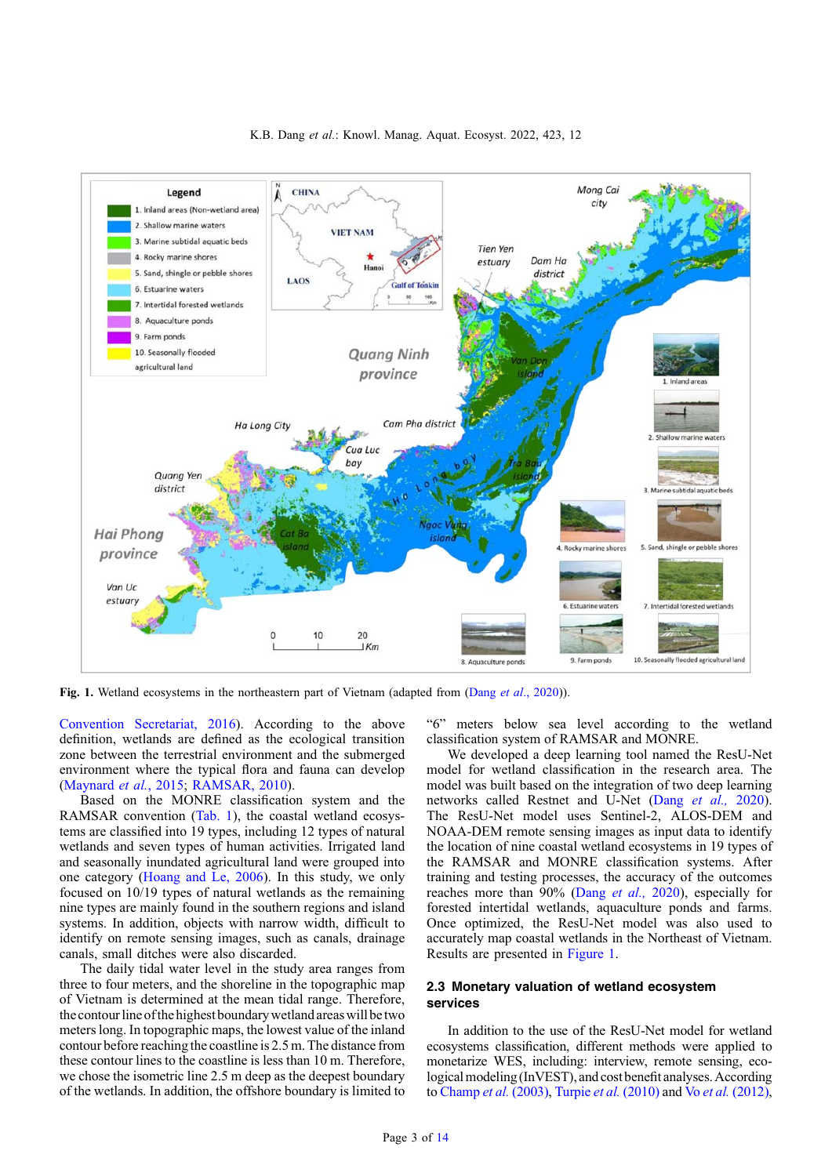<span id="page-2-0"></span>

Fig. 1. Wetland ecosystems in the northeastern part of Vietnam (adapted from (Dang et al[., 2020\)](#page-11-0)).

[Convention Secretariat, 2016\)](#page-12-0). According to the above definition, wetlands are defined as the ecological transition zone between the terrestrial environment and the submerged environment where the typical flora and fauna can develop ([Maynard](#page-12-0) et al., 2015; [RAMSAR, 2010\)](#page-12-0).

Based on the MONRE classification system and the RAMSAR convention [\(Tab. 1\)](#page-3-0), the coastal wetland ecosystems are classified into 19 types, including 12 types of natural wetlands and seven types of human activities. Irrigated land and seasonally inundated agricultural land were grouped into one category ([Hoang and Le, 2006](#page-12-0)). In this study, we only focused on 10/19 types of natural wetlands as the remaining nine types are mainly found in the southern regions and island systems. In addition, objects with narrow width, difficult to identify on remote sensing images, such as canals, drainage canals, small ditches were also discarded.

The daily tidal water level in the study area ranges from three to four meters, and the shoreline in the topographic map of Vietnam is determined at the mean tidal range. Therefore, the contour line of the highest boundary wetland areas will be two meters long. In topographic maps, the lowest value of the inland contour before reaching the coastline is 2.5 m. The distance from these contour lines to the coastline is less than 10 m. Therefore, we chose the isometric line 2.5 m deep as the deepest boundary of the wetlands. In addition, the offshore boundary is limited to

"6" meters below sea level according to the wetland classification system of RAMSAR and MONRE.

We developed a deep learning tool named the ResU-Net model for wetland classification in the research area. The model was built based on the integration of two deep learning networks called Restnet and U-Net (Dang [et al.,](#page-11-0) 2020). The ResU-Net model uses Sentinel-2, ALOS-DEM and NOAA-DEM remote sensing images as input data to identify the location of nine coastal wetland ecosystems in 19 types of the RAMSAR and MONRE classification systems. After training and testing processes, the accuracy of the outcomes reaches more than 90% (Dang [et al.,](#page-11-0) 2020), especially for forested intertidal wetlands, aquaculture ponds and farms. Once optimized, the ResU-Net model was also used to accurately map coastal wetlands in the Northeast of Vietnam. Results are presented in Figure 1.

## 2.3 Monetary valuation of wetland ecosystem services

In addition to the use of the ResU-Net model for wetland ecosystems classification, different methods were applied to monetarize WES, including: interview, remote sensing, ecological modeling (InVEST), and cost benefit analyses. According to [Champ](#page-11-0) et al. (2003), Turpie et al. [\(2010\)](#page-13-0) and Vo et al. [\(2012\)](#page-13-0),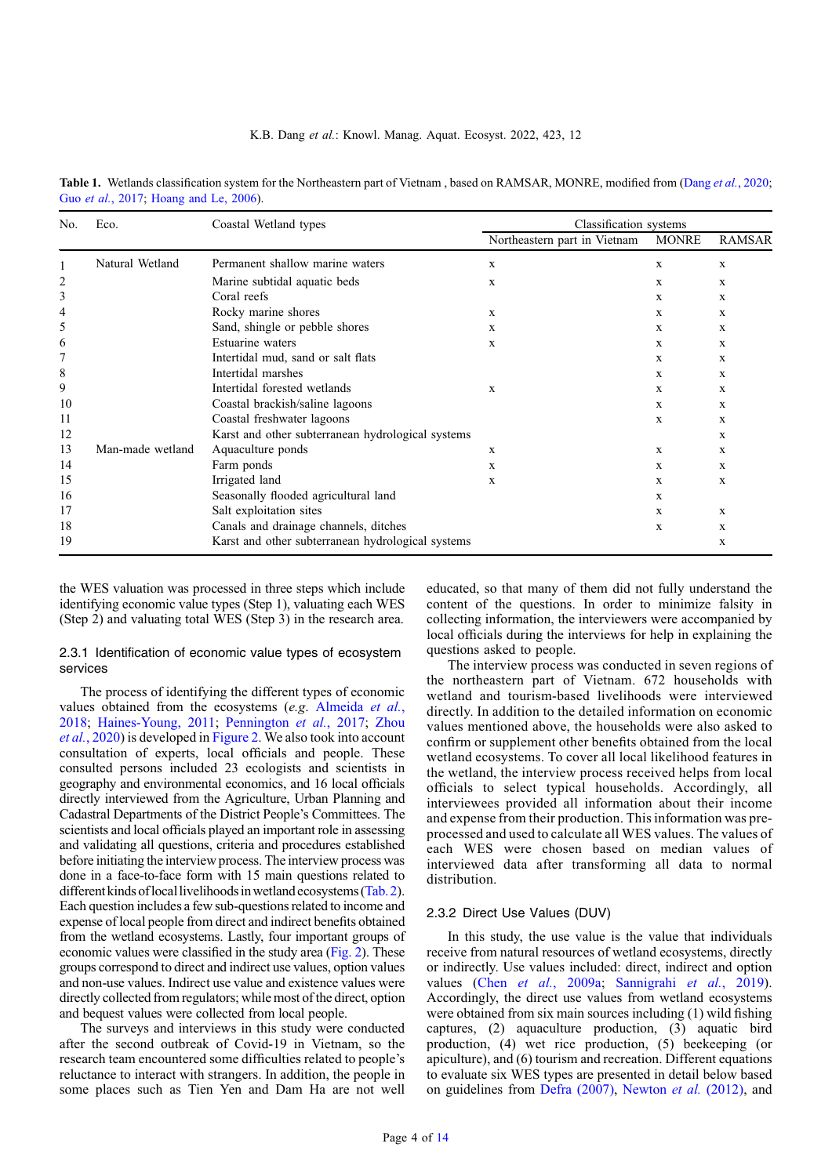<span id="page-3-0"></span>

| Table 1. Wetlands classification system for the Northeastern part of Vietnam, based on RAMSAR, MONRE, modified from (Dang et al., 2020; |  |  |
|-----------------------------------------------------------------------------------------------------------------------------------------|--|--|
| Guo <i>et al.</i> , 2017; Hoang and Le, 2006).                                                                                          |  |  |

| No. | Eco.             | Coastal Wetland types                             | Classification systems       |       |               |
|-----|------------------|---------------------------------------------------|------------------------------|-------|---------------|
|     |                  |                                                   | Northeastern part in Vietnam | MONRE | <b>RAMSAR</b> |
|     | Natural Wetland  | Permanent shallow marine waters                   | $\mathbf{x}$                 | X     | X             |
| 2   |                  | Marine subtidal aquatic beds                      | X                            | X     | X             |
| 3   |                  | Coral reefs                                       |                              | X     | X             |
| 4   |                  | Rocky marine shores                               | $\mathbf{x}$                 | X     | X             |
| 5   |                  | Sand, shingle or pebble shores                    | $\mathbf{x}$                 | X     | X             |
| 6   |                  | Estuarine waters                                  | $\mathbf{x}$                 | X     | X             |
| 7   |                  | Intertidal mud, sand or salt flats                |                              | X     | X             |
| 8   |                  | Intertidal marshes                                |                              | X     | X             |
| 9   |                  | Intertidal forested wetlands                      | X                            | X     | X             |
| 10  |                  | Coastal brackish/saline lagoons                   |                              | X     | X             |
| 11  |                  | Coastal freshwater lagoons                        |                              | X     | X             |
| 12  |                  | Karst and other subterranean hydrological systems |                              |       | X             |
| 13  | Man-made wetland | Aquaculture ponds                                 | $\mathbf{x}$                 | X     | X             |
| 14  |                  | Farm ponds                                        | X                            | X     | X             |
| 15  |                  | Irrigated land                                    | $\mathbf{x}$                 | X     | X             |
| 16  |                  | Seasonally flooded agricultural land              |                              | X     |               |
| 17  |                  | Salt exploitation sites                           |                              | X     | X             |
| 18  |                  | Canals and drainage channels, ditches             |                              | X     | X             |
| 19  |                  | Karst and other subterranean hydrological systems |                              |       | $\mathbf x$   |

the WES valuation was processed in three steps which include identifying economic value types (Step 1), valuating each WES (Step 2) and valuating total WES (Step 3) in the research area.

2.3.1 Identification of economic value types of ecosystem services

The process of identifying the different types of economic values obtained from the ecosystems (e.g. [Almeida](#page-11-0) et al., [2018](#page-11-0); [Haines-Young, 2011](#page-12-0); [Pennington](#page-12-0) et al., 2017; [Zhou](#page-13-0) et al.[, 2020](#page-13-0)) is developed in [Figure 2.](#page-4-0) We also took into account consultation of experts, local officials and people. These consulted persons included 23 ecologists and scientists in geography and environmental economics, and 16 local officials directly interviewed from the Agriculture, Urban Planning and Cadastral Departments of the District People's Committees. The scientists and local officials played an important role in assessing and validating all questions, criteria and procedures established before initiating the interview process. The interview process was done in a face-to-face form with 15 main questions related to different kinds of local livelihoods in wetland ecosystems [\(Tab. 2](#page-4-0)). Each question includes a few sub-questions related to income and expense of local people from direct and indirect benefits obtained from the wetland ecosystems. Lastly, four important groups of economic values were classified in the study area ([Fig. 2\)](#page-4-0). These groups correspond to direct and indirect use values, option values and non-use values. Indirect use value and existence values were directly collected from regulators; while most of the direct, option and bequest values were collected from local people.

The surveys and interviews in this study were conducted after the second outbreak of Covid-19 in Vietnam, so the research team encountered some difficulties related to people's reluctance to interact with strangers. In addition, the people in some places such as Tien Yen and Dam Ha are not well educated, so that many of them did not fully understand the content of the questions. In order to minimize falsity in collecting information, the interviewers were accompanied by local officials during the interviews for help in explaining the questions asked to people.

The interview process was conducted in seven regions of the northeastern part of Vietnam. 672 households with wetland and tourism-based livelihoods were interviewed directly. In addition to the detailed information on economic values mentioned above, the households were also asked to confirm or supplement other benefits obtained from the local wetland ecosystems. To cover all local likelihood features in the wetland, the interview process received helps from local officials to select typical households. Accordingly, all interviewees provided all information about their income and expense from their production. This information was preprocessed and used to calculate all WES values. The values of each WES were chosen based on median values of interviewed data after transforming all data to normal distribution.

#### 2.3.2 Direct Use Values (DUV)

In this study, the use value is the value that individuals receive from natural resources of wetland ecosystems, directly or indirectly. Use values included: direct, indirect and option values (Chen et al.[, 2009a](#page-11-0); [Sannigrahi](#page-12-0) et al., 2019). Accordingly, the direct use values from wetland ecosystems were obtained from six main sources including (1) wild fishing captures, (2) aquaculture production, (3) aquatic bird production, (4) wet rice production, (5) beekeeping (or apiculture), and (6) tourism and recreation. Different equations to evaluate six WES types are presented in detail below based on guidelines from [Defra \(2007\),](#page-11-0) [Newton](#page-12-0) et al. (2012), and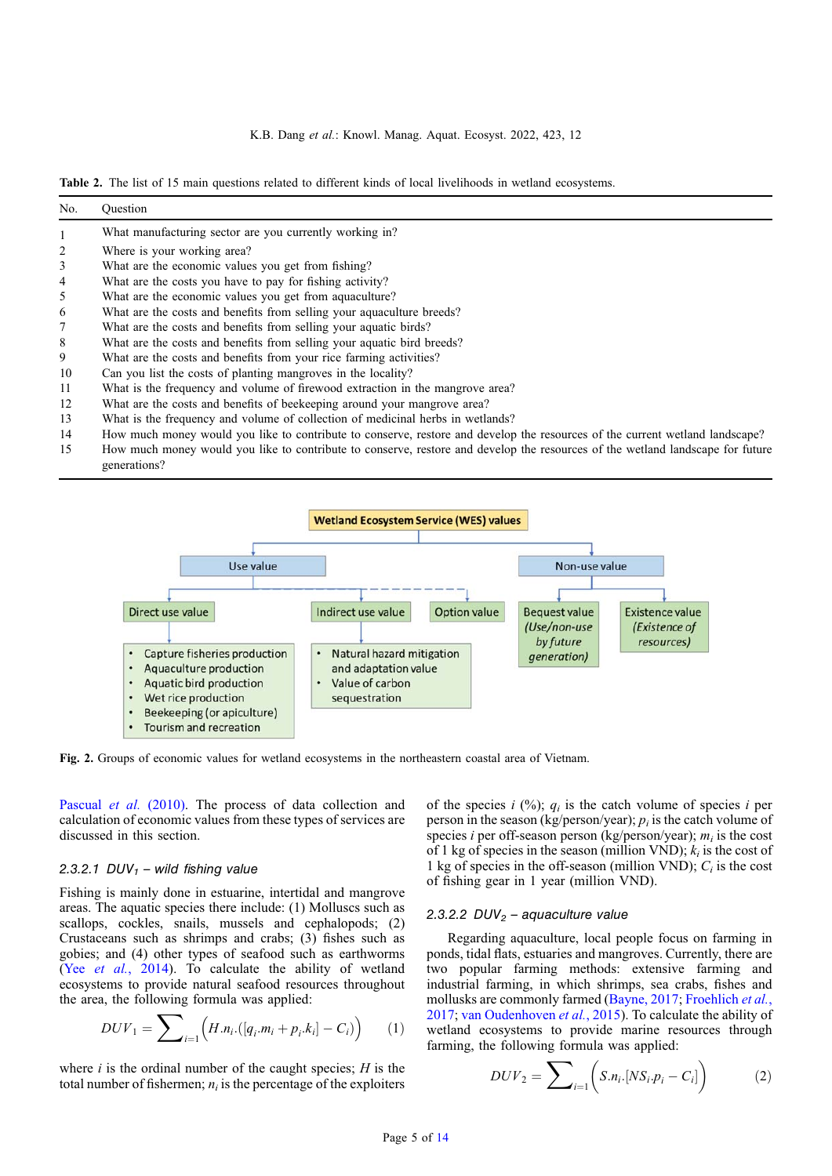<span id="page-4-0"></span>

|  |  |  |  |  |  | Table 2. The list of 15 main questions related to different kinds of local livelihoods in wetland ecosystems. |
|--|--|--|--|--|--|---------------------------------------------------------------------------------------------------------------|
|  |  |  |  |  |  |                                                                                                               |

| No.          | <b>Ouestion</b>                                                                                                                                |
|--------------|------------------------------------------------------------------------------------------------------------------------------------------------|
| $\mathbf{1}$ | What manufacturing sector are you currently working in?                                                                                        |
| 2            | Where is your working area?                                                                                                                    |
| 3            | What are the economic values you get from fishing?                                                                                             |
| 4            | What are the costs you have to pay for fishing activity?                                                                                       |
| 5            | What are the economic values you get from aquaculture?                                                                                         |
| 6            | What are the costs and benefits from selling your aquaculture breeds?                                                                          |
| 7            | What are the costs and benefits from selling your aquatic birds?                                                                               |
| 8            | What are the costs and benefits from selling your aquatic bird breeds?                                                                         |
| 9.           | What are the costs and benefits from your rice farming activities?                                                                             |
| 10           | Can you list the costs of planting mangroves in the locality?                                                                                  |
| 11           | What is the frequency and volume of firewood extraction in the mangrove area?                                                                  |
| 12           | What are the costs and benefits of beekeeping around your mangrove area?                                                                       |
| 13           | What is the frequency and volume of collection of medicinal herbs in wetlands?                                                                 |
| 14           | How much money would you like to contribute to conserve, restore and develop the resources of the current wetland landscape?                   |
| 15           | How much money would you like to contribute to conserve, restore and develop the resources of the wetland landscape for future<br>generations? |



Fig. 2. Groups of economic values for wetland ecosystems in the northeastern coastal area of Vietnam.

[Pascual](#page-12-0) et al. (2010). The process of data collection and calculation of economic values from these types of services are discussed in this section.

#### 2.3.2.1 DUV<sub>1</sub> – wild fishing value

Fishing is mainly done in estuarine, intertidal and mangrove areas. The aquatic species there include: (1) Molluscs such as scallops, cockles, snails, mussels and cephalopods; (2) Crustaceans such as shrimps and crabs; (3) fishes such as gobies; and (4) other types of seafood such as earthworms (Yee et al.[, 2014\)](#page-13-0). To calculate the ability of wetland ecosystems to provide natural seafood resources throughout the area, the following formula was applied:

$$
DUV_1 = \sum_{i=1} \Big( H.n_i.([q_i.m_i + p_i.k_i] - C_i) \Big) \qquad (1)
$$

where  $i$  is the ordinal number of the caught species;  $H$  is the total number of fishermen;  $n_i$  is the percentage of the exploiters of the species i  $(\frac{9}{6})$ ;  $q_i$  is the catch volume of species i per person in the season (kg/person/year);  $p_i$  is the catch volume of species *i* per off-season person (kg/person/year);  $m_i$  is the cost of 1 kg of species in the season (million VND);  $k_i$  is the cost of 1 kg of species in the off-season (million VND);  $C_i$  is the cost of fishing gear in 1 year (million VND).

## 2.3.2.2  $DUV<sub>2</sub>$  – aquaculture value

Regarding aquaculture, local people focus on farming in ponds, tidal flats, estuaries and mangroves. Currently, there are two popular farming methods: extensive farming and industrial farming, in which shrimps, sea crabs, fishes and mollusks are commonly farmed ([Bayne, 2017;](#page-11-0) [Froehlich](#page-11-0) et al., [2017](#page-11-0); [van Oudenhoven](#page-12-0) et al., 2015). To calculate the ability of wetland ecosystems to provide marine resources through farming, the following formula was applied:

$$
DUV_2 = \sum_{i=1} \bigg( S.n_i \cdot [NS_i \cdot p_i - C_i] \bigg) \tag{2}
$$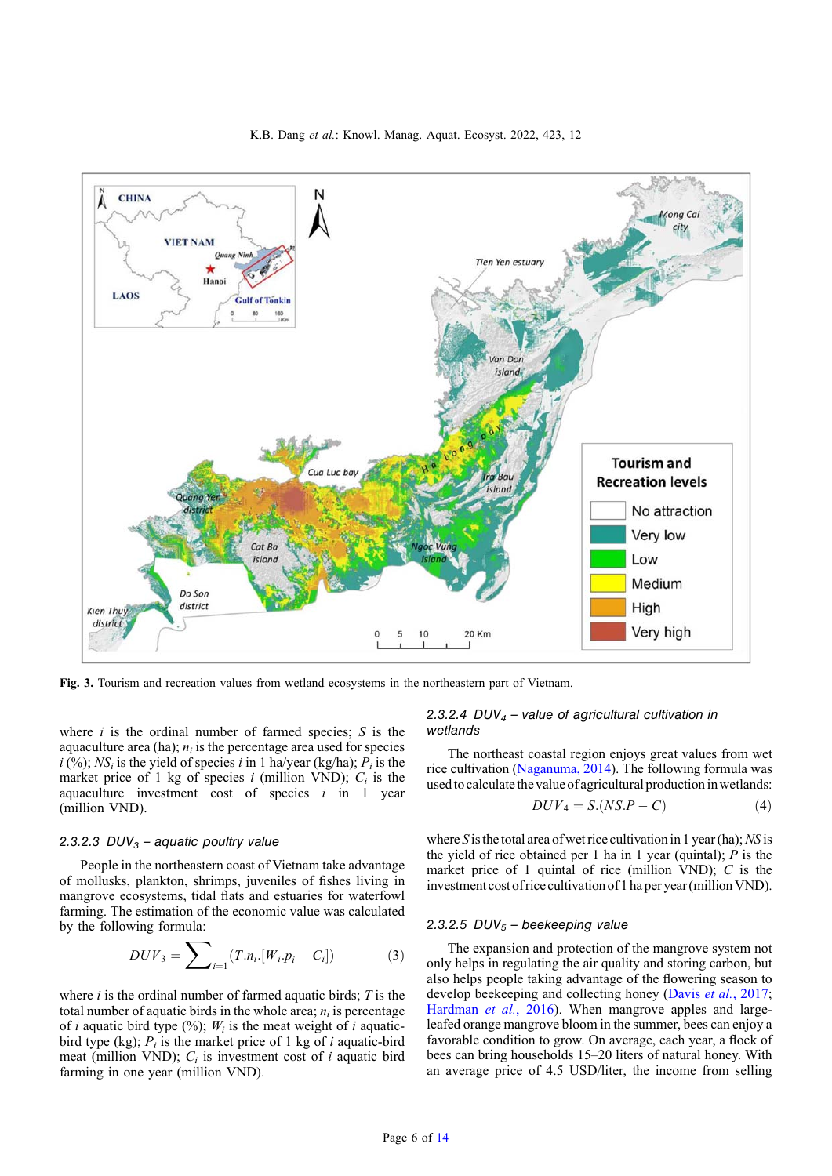<span id="page-5-0"></span>

Fig. 3. Tourism and recreation values from wetland ecosystems in the northeastern part of Vietnam.

where  $i$  is the ordinal number of farmed species;  $S$  is the aquaculture area (ha);  $n_i$  is the percentage area used for species  $i$  (%); NS<sub>i</sub> is the yield of species i in 1 ha/year (kg/ha);  $P_i$  is the market price of 1 kg of species i (million VND);  $C_i$  is the aquaculture investment cost of species  $i$  in 1 year (million VND).

## 2.3.2.3 DUV<sub>3</sub> – aquatic poultry value

People in the northeastern coast of Vietnam take advantage of mollusks, plankton, shrimps, juveniles of fishes living in mangrove ecosystems, tidal flats and estuaries for waterfowl farming. The estimation of the economic value was calculated by the following formula:

$$
DUV_3 = \sum_{i=1}^{J} (T.n_i \cdot [W_i \cdot p_i - C_i])
$$
 (3)

where  $i$  is the ordinal number of farmed aquatic birds;  $T$  is the total number of aquatic birds in the whole area;  $n_i$  is percentage of *i* aquatic bird type  $(\%)$ ;  $W_i$  is the meat weight of *i* aquaticbird type (kg);  $P_i$  is the market price of 1 kg of i aquatic-bird meat (million VND);  $C_i$  is investment cost of i aquatic bird farming in one year (million VND).

## 2.3.2.4 DUV<sub>4</sub> – value of agricultural cultivation in wetlands

The northeast coastal region enjoys great values from wet rice cultivation [\(Naganuma, 2014](#page-12-0)). The following formula was used to calculate the value of agricultural production in wetlands:

$$
DUV_4 = S.(NS.P - C) \tag{4}
$$

where S is the total area of wet rice cultivation in 1 year (ha);  $NS$  is the yield of rice obtained per 1 ha in 1 year (quintal);  $P$  is the market price of 1 quintal of rice (million VND);  $C$  is the investment cost of rice cultivation of 1 ha per year (million VND).

#### 2.3.2.5  $DUV_5$  – beekeeping value

The expansion and protection of the mangrove system not only helps in regulating the air quality and storing carbon, but also helps people taking advantage of the flowering season to develop beekeeping and collecting honey (Davis *et al.*[, 2017;](#page-11-0) [Hardman](#page-12-0) et al., 2016). When mangrove apples and largeleafed orange mangrove bloom in the summer, bees can enjoy a favorable condition to grow. On average, each year, a flock of bees can bring households 15–20 liters of natural honey. With an average price of 4.5 USD/liter, the income from selling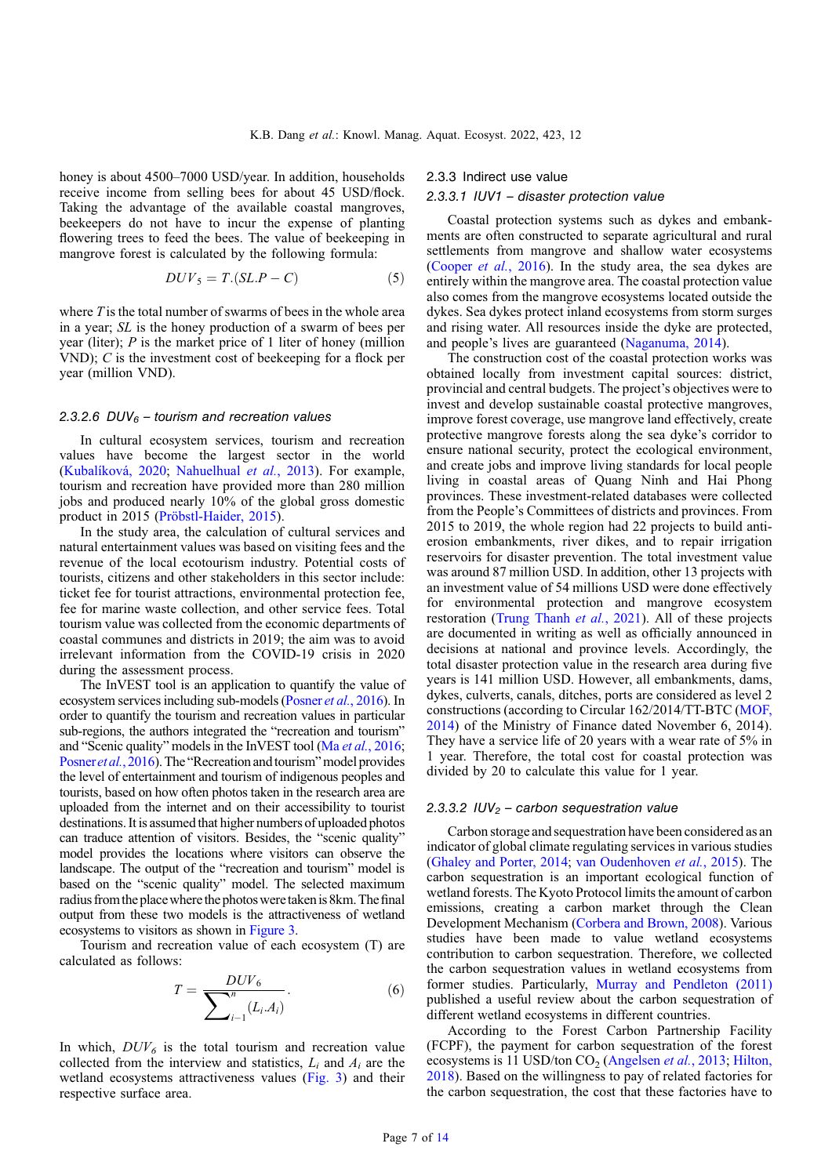honey is about 4500–7000 USD/year. In addition, households receive income from selling bees for about 45 USD/flock. Taking the advantage of the available coastal mangroves, beekeepers do not have to incur the expense of planting flowering trees to feed the bees. The value of beekeeping in mangrove forest is calculated by the following formula:

$$
DUV_5 = T.(SL.P - C) \tag{5}
$$

where  $T$  is the total number of swarms of bees in the whole area in a year; SL is the honey production of a swarm of bees per year (liter);  $P$  is the market price of 1 liter of honey (million VND); C is the investment cost of beekeeping for a flock per year (million VND).

## 2.3.2.6 DUV $_6$  – tourism and recreation values

In cultural ecosystem services, tourism and recreation values have become the largest sector in the world ([Kubalíková, 2020](#page-12-0); [Nahuelhual](#page-12-0) et al., 2013). For example, tourism and recreation have provided more than 280 million jobs and produced nearly 10% of the global gross domestic product in 2015 ([Pröbstl-Haider, 2015\)](#page-12-0).

In the study area, the calculation of cultural services and natural entertainment values was based on visiting fees and the revenue of the local ecotourism industry. Potential costs of tourists, citizens and other stakeholders in this sector include: ticket fee for tourist attractions, environmental protection fee, fee for marine waste collection, and other service fees. Total tourism value was collected from the economic departments of coastal communes and districts in 2019; the aim was to avoid irrelevant information from the COVID-19 crisis in 2020 during the assessment process.

The InVEST tool is an application to quantify the value of ecosystem services including sub-models [\(Posner](#page-12-0) et al., 2016). In order to quantify the tourism and recreation values in particular sub-regions, the authors integrated the "recreation and tourism" and "Scenic quality" models in the InVEST tool (Ma et al.[, 2016](#page-12-0); [Posner](#page-12-0) et al., 2016). The "Recreation and tourism" model provides the level of entertainment and tourism of indigenous peoples and tourists, based on how often photos taken in the research area are uploaded from the internet and on their accessibility to tourist destinations. It is assumed that higher numbers of uploaded photos can traduce attention of visitors. Besides, the "scenic quality" model provides the locations where visitors can observe the landscape. The output of the "recreation and tourism" model is based on the "scenic quality" model. The selected maximum radius from the place where the photos were taken is 8km. The final output from these two models is the attractiveness of wetland ecosystems to visitors as shown in [Figure 3](#page-5-0).

Tourism and recreation value of each ecosystem (T) are calculated as follows:

$$
T = \frac{DUV_6}{\sum_{i=1}^{n} (L_i A_i)}.
$$
 (6)

In which,  $DUV_6$  is the total tourism and recreation value collected from the interview and statistics,  $L_i$  and  $A_i$  are the wetland ecosystems attractiveness values ([Fig. 3](#page-5-0)) and their respective surface area.

#### 2.3.3 Indirect use value

## 2.3.3.1 IUV1 – disaster protection value

Coastal protection systems such as dykes and embankments are often constructed to separate agricultural and rural settlements from mangrove and shallow water ecosystems ([Cooper](#page-11-0) et al., 2016). In the study area, the sea dykes are entirely within the mangrove area. The coastal protection value also comes from the mangrove ecosystems located outside the dykes. Sea dykes protect inland ecosystems from storm surges and rising water. All resources inside the dyke are protected, and people's lives are guaranteed ([Naganuma, 2014\)](#page-12-0).

The construction cost of the coastal protection works was obtained locally from investment capital sources: district, provincial and central budgets. The project's objectives were to invest and develop sustainable coastal protective mangroves, improve forest coverage, use mangrove land effectively, create protective mangrove forests along the sea dyke's corridor to ensure national security, protect the ecological environment, and create jobs and improve living standards for local people living in coastal areas of Quang Ninh and Hai Phong provinces. These investment-related databases were collected from the People's Committees of districts and provinces. From 2015 to 2019, the whole region had 22 projects to build antierosion embankments, river dikes, and to repair irrigation reservoirs for disaster prevention. The total investment value was around 87 million USD. In addition, other 13 projects with an investment value of 54 millions USD were done effectively for environmental protection and mangrove ecosystem restoration [\(Trung Thanh](#page-13-0) et al., 2021). All of these projects are documented in writing as well as officially announced in decisions at national and province levels. Accordingly, the total disaster protection value in the research area during five years is 141 million USD. However, all embankments, dams, dykes, culverts, canals, ditches, ports are considered as level 2 constructions (according to Circular 162/2014/TT-BTC [\(MOF,](#page-12-0) [2014](#page-12-0)) of the Ministry of Finance dated November 6, 2014). They have a service life of 20 years with a wear rate of 5% in 1 year. Therefore, the total cost for coastal protection was divided by 20 to calculate this value for 1 year.

#### 2.3.3.2  $IUV<sub>2</sub>$  – carbon sequestration value

Carbon storage and sequestration have been considered as an indicator of global climate regulating services in various studies ([Ghaley and Porter, 2014](#page-12-0); [van Oudenhoven](#page-12-0) et al., 2015). The carbon sequestration is an important ecological function of wetland forests. The Kyoto Protocol limits the amount of carbon emissions, creating a carbon market through the Clean Development Mechanism [\(Corbera and Brown, 2008](#page-11-0)). Various studies have been made to value wetland ecosystems contribution to carbon sequestration. Therefore, we collected the carbon sequestration values in wetland ecosystems from former studies. Particularly, [Murray and Pendleton \(2011\)](#page-12-0) published a useful review about the carbon sequestration of different wetland ecosystems in different countries.

According to the Forest Carbon Partnership Facility (FCPF), the payment for carbon sequestration of the forest ecosystems is 11 USD/ton  $CO<sub>2</sub>$  [\(Angelsen](#page-11-0) et al., 2013; [Hilton,](#page-12-0) [2018](#page-12-0)). Based on the willingness to pay of related factories for the carbon sequestration, the cost that these factories have to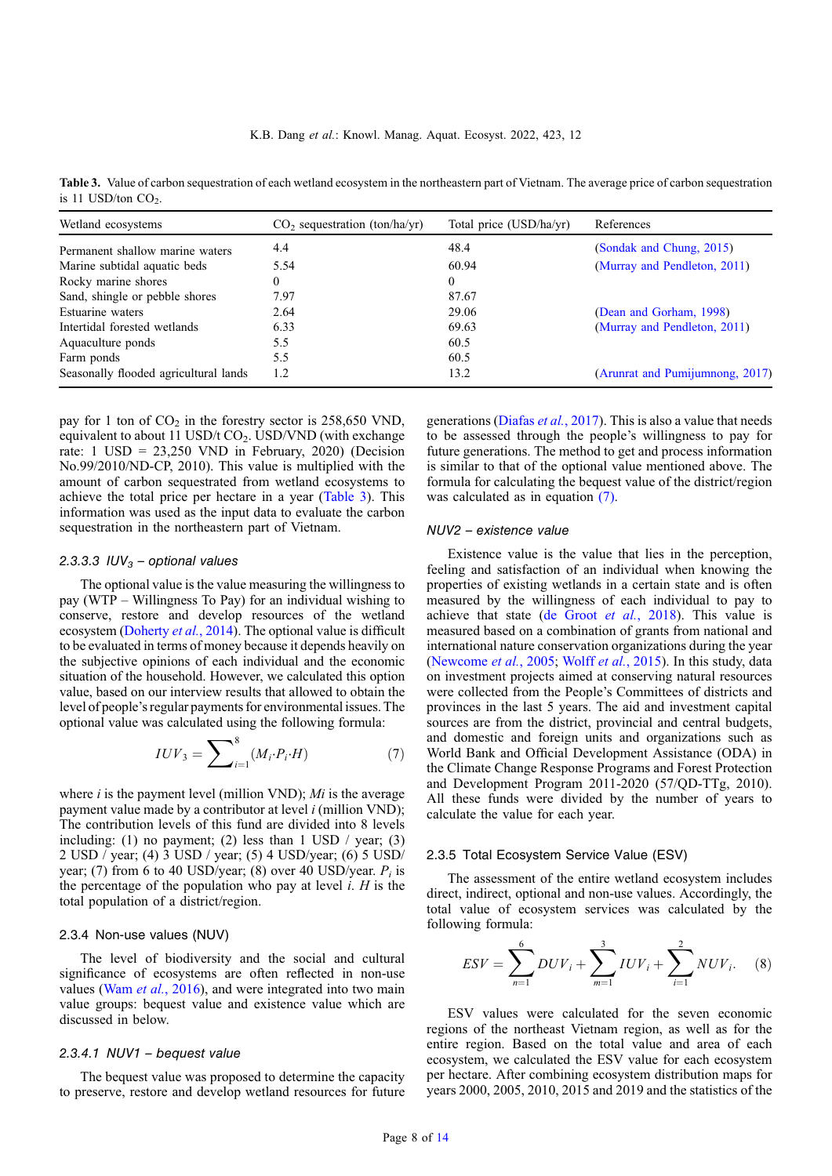Table 3. Value of carbon sequestration of each wetland ecosystem in the northeastern part of Vietnam. The average price of carbon sequestration is 11 USD/ton  $CO<sub>2</sub>$ .

| Wetland ecosystems                    | $CO2$ sequestration (ton/ha/yr) | Total price (USD/ha/yr) | References                      |
|---------------------------------------|---------------------------------|-------------------------|---------------------------------|
| Permanent shallow marine waters       | 4.4                             | 48.4                    | (Sondak and Chung, 2015)        |
| Marine subtidal aquatic beds          | 5.54                            | 60.94                   | (Murray and Pendleton, 2011)    |
| Rocky marine shores                   | $\theta$                        |                         |                                 |
| Sand, shingle or pebble shores        | 7.97                            | 87.67                   |                                 |
| Estuarine waters                      | 2.64                            | 29.06                   | (Dean and Gorham, 1998)         |
| Intertidal forested wetlands          | 6.33                            | 69.63                   | (Murray and Pendleton, 2011)    |
| Aquaculture ponds                     | 5.5                             | 60.5                    |                                 |
| Farm ponds                            | 5.5                             | 60.5                    |                                 |
| Seasonally flooded agricultural lands | 1.2                             | 13.2                    | (Arunrat and Pumijumnong, 2017) |

pay for 1 ton of  $CO<sub>2</sub>$  in the forestry sector is 258,650 VND, equivalent to about 11 USD/t  $CO<sub>2</sub>$ . USD/VND (with exchange rate:  $1 \text{ USD} = 23,250 \text{ VND}$  in February, 2020) (Decision No.99/2010/ND-CP, 2010). This value is multiplied with the amount of carbon sequestrated from wetland ecosystems to achieve the total price per hectare in a year (Table 3). This information was used as the input data to evaluate the carbon sequestration in the northeastern part of Vietnam.

#### 2.3.3.3  $IUV<sub>3</sub>$  – optional values

The optional value is the value measuring the willingness to pay (WTP – Willingness To Pay) for an individual wishing to conserve, restore and develop resources of the wetland ecosystem ([Doherty](#page-11-0) et al., 2014). The optional value is difficult to be evaluated in terms of money because it depends heavily on the subjective opinions of each individual and the economic situation of the household. However, we calculated this option value, based on our interview results that allowed to obtain the level of people's regular payments for environmental issues. The optional value was calculated using the following formula:

$$
IUV_3 = \sum_{i=1}^{8} (M_i \cdot P_i \cdot H) \tag{7}
$$

where  $i$  is the payment level (million VND); Mi is the average payment value made by a contributor at level  $i$  (million VND); The contribution levels of this fund are divided into 8 levels including: (1) no payment; (2) less than 1 USD / year; (3) 2 USD / year; (4) 3 USD / year; (5) 4 USD/year; (6) 5 USD/ year; (7) from 6 to 40 USD/year; (8) over 40 USD/year.  $P_i$  is the percentage of the population who pay at level  $i$ .  $H$  is the total population of a district/region.

#### 2.3.4 Non-use values (NUV)

The level of biodiversity and the social and cultural significance of ecosystems are often reflected in non-use values (Wam et al.[, 2016](#page-13-0)), and were integrated into two main value groups: bequest value and existence value which are discussed in below.

#### 2.3.4.1 NUV1 – bequest value

The bequest value was proposed to determine the capacity to preserve, restore and develop wetland resources for future generations ([Diafas](#page-11-0) et al., 2017). This is also a value that needs to be assessed through the people's willingness to pay for future generations. The method to get and process information is similar to that of the optional value mentioned above. The formula for calculating the bequest value of the district/region was calculated as in equation (7).

#### NUV2 – existence value

Existence value is the value that lies in the perception, feeling and satisfaction of an individual when knowing the properties of existing wetlands in a certain state and is often measured by the willingness of each individual to pay to achieve that state [\(de Groot](#page-12-0) et al., 2018). This value is measured based on a combination of grants from national and international nature conservation organizations during the year ([Newcome](#page-12-0) et al., 2005; Wolff et al.[, 2015](#page-13-0)). In this study, data on investment projects aimed at conserving natural resources were collected from the People's Committees of districts and provinces in the last 5 years. The aid and investment capital sources are from the district, provincial and central budgets, and domestic and foreign units and organizations such as World Bank and Official Development Assistance (ODA) in the Climate Change Response Programs and Forest Protection and Development Program 2011-2020 (57/QD-TTg, 2010). All these funds were divided by the number of years to calculate the value for each year.

#### 2.3.5 Total Ecosystem Service Value (ESV)

The assessment of the entire wetland ecosystem includes direct, indirect, optional and non-use values. Accordingly, the total value of ecosystem services was calculated by the following formula:

$$
ESV = \sum_{n=1}^{6} DUV_i + \sum_{m=1}^{3} IUV_i + \sum_{i=1}^{2} NUV_i.
$$
 (8)

ESV values were calculated for the seven economic regions of the northeast Vietnam region, as well as for the entire region. Based on the total value and area of each ecosystem, we calculated the ESV value for each ecosystem per hectare. After combining ecosystem distribution maps for years 2000, 2005, 2010, 2015 and 2019 and the statistics of the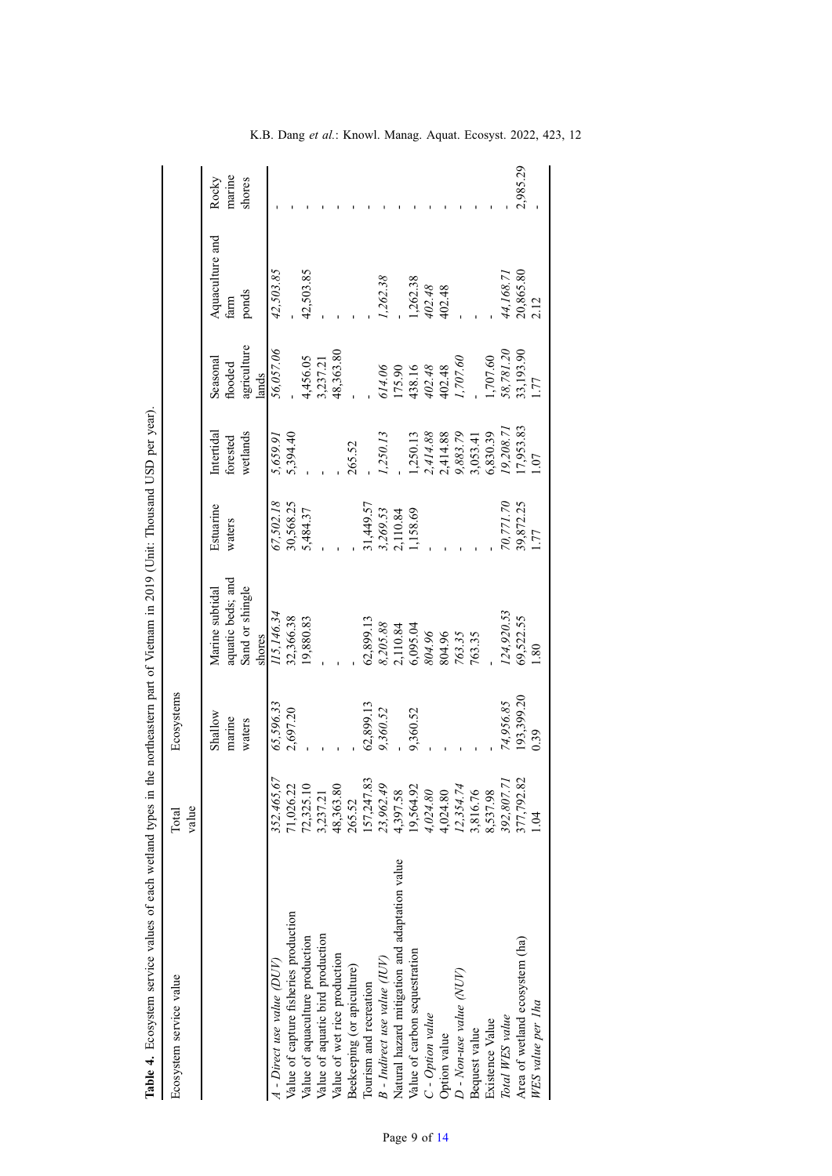<span id="page-8-0"></span>

| Table 4. Ecosystem service values of each wetland types in |                           |            | the northeastern part of Vietnam in 2019 (Unit: Thousand USD per year). |           |                      |                                    |                        |          |
|------------------------------------------------------------|---------------------------|------------|-------------------------------------------------------------------------|-----------|----------------------|------------------------------------|------------------------|----------|
| Ecosystem service value                                    | value<br>Total            | Ecosystems |                                                                         |           |                      |                                    |                        |          |
|                                                            |                           | Shallow    | Marine subtidal                                                         | Estuarine | Intertidal           | Seasonal                           | Aquaculture and        | Rocky    |
|                                                            |                           | marine     | aquatic beds; and                                                       | waters    | forested             | flooded                            | farm                   | marine   |
|                                                            |                           | waters     | Sand or shingle                                                         |           | wetlands             | agriculture                        | ponds                  | shores   |
|                                                            |                           |            | shores                                                                  |           |                      | lands                              |                        |          |
| A - Direct use value (DUV)                                 | 352.465,67                | 65,596.33  | 115,146.34                                                              | 67,502.18 | 5,659.91             | 56,057.06                          | 42,503.85              |          |
| Value of capture fisheries production                      | 71,026.22                 | 2,697.20   | 32,366.38                                                               | 30,568.25 | 5,394.40             |                                    |                        |          |
| Value of aquaculture production                            | 72,325.10                 |            | 19,880.83                                                               | 5,484.37  |                      | 4,456.05                           | 42,503.85              |          |
| Value of aquatic bird production                           | 3,237.21                  |            |                                                                         |           |                      | 3,237.21                           |                        |          |
| Value of wet rice production                               | 48,363.80                 |            |                                                                         |           |                      | 48,363.80                          |                        |          |
| Beekeeping (or apiculture)                                 | 265.52                    |            |                                                                         |           | 265.52               |                                    |                        |          |
| Tourism and recreation                                     | 157,247.83<br>23,962.49   | 62,899.13  | 62,899.13                                                               | 31,449.57 |                      |                                    |                        |          |
| B - Indirect use value (IUV)                               |                           | 9,360.52   | 8,205.88                                                                | 3,269.53  | 1,250.13             | 614.06                             | 1,262.38               |          |
| Natural hazard mitigation and adaptation value             | 4,397.58                  |            | 2,110.84                                                                | 2,110.84  |                      | 175.90                             |                        |          |
| Value of carbon sequestration                              |                           | 9,360.52   | 6,095.04                                                                | ,158.69   | 1,250.13             | 438.16                             | 1,262.38               |          |
| C - Option value                                           | $19,564.92$<br>$4,024.80$ |            | 804.96                                                                  |           | 2,414.88<br>2,414.88 | 402.48                             | 402.48<br>402.48       |          |
| Option value                                               | 4,024.80                  |            | 804.96                                                                  |           |                      | 402.48                             |                        |          |
| D - Non-use value (NUV)                                    | 12,354.74                 |            | 763.35                                                                  |           | 9,883.79             | 1,707.60                           |                        |          |
| Bequest value                                              | 3,816.76                  |            | 763.35                                                                  |           | 3,053.41             |                                    |                        |          |
| Existence Value                                            | 8,537.98                  |            |                                                                         |           | 6,830.39             |                                    |                        |          |
| Total WES value                                            | 392,807.71                | 74,956.85  | 124,920.53                                                              | 70,771.70 | 19,208.71            | 1,707.60<br>58,781.20<br>33,193.90 | 44,168.71<br>20,865.80 |          |
| Area of wetland ecosystem (ha)                             | 377,792.82                | 193,399.20 | 69,522.55                                                               | 39,872.25 | 7,953.83             |                                    |                        | 2,985.29 |
| WES value per 1ha                                          | $\overline{5}$            | 0.39       | $^{1.80}$                                                               | 1.77      | $0$ .                | 1.77                               | 2.12                   |          |
|                                                            |                           |            |                                                                         |           |                      |                                    |                        |          |

K.B. Dang et al.: Knowl. Manag. Aquat. Ecosyst. 2022, 423, 12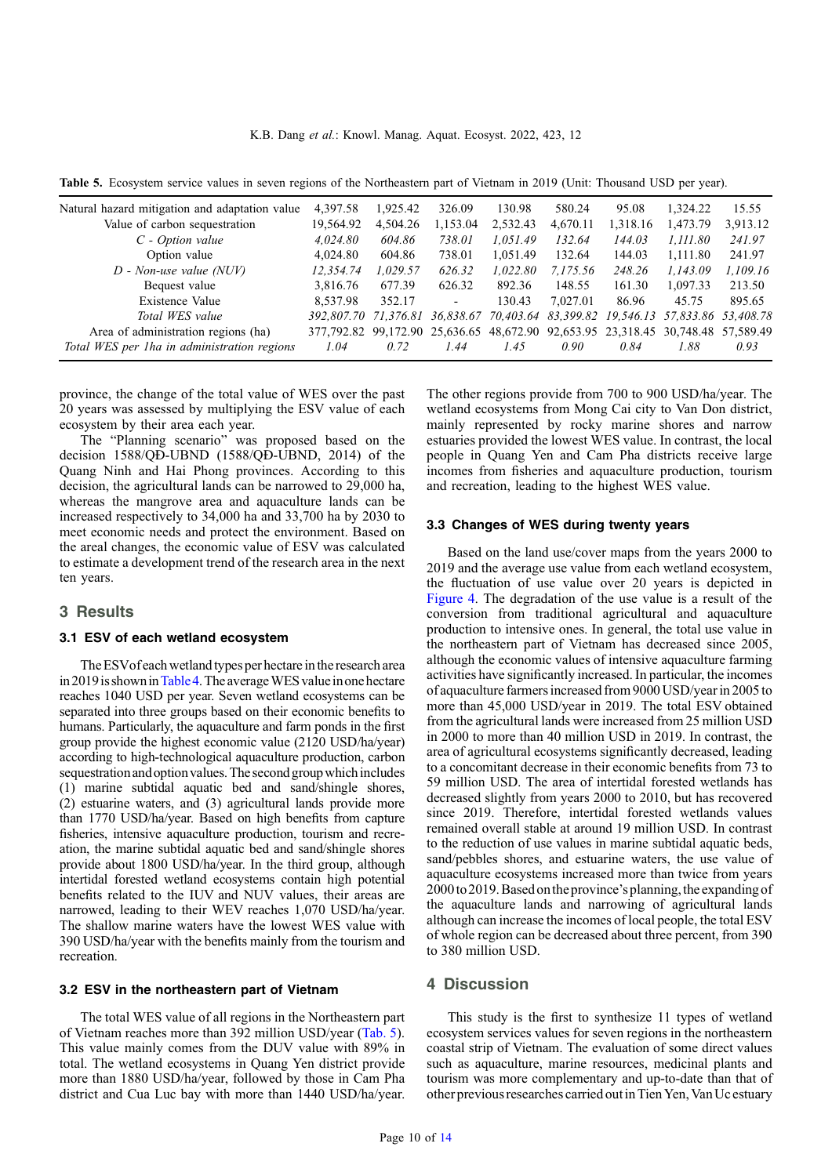Natural hazard mitigation and adaptation value 4,397.58 1,925.42 326.09 130.98 580.24 95.08 1,324.22 15.55 Value of carbon sequestration 19,564.92 4,504.26 1,153.04 2,532.43 4,670.11 1,318.16 1,473.79 3,913.12 C - Option value 4,024.80 604.86 738.01 1,051.49 132.64 144.03 1,111.80 241.97 Option value 4,024.80 604.86 738.01 1,051.49 132.64 144.03 1,111.80 241.97 D - Non-use value (NUV) 12,354.74 1,029.57 626.32 1,022.80 7,175.56 248.26 1,143.09 1,109.16 Bequest value 3,816.76 677.39 626.32 892.36 148.55 161.30 1,097.33 213.50 Existence Value 8,537.98 352.17 - 130.43 7.027.01 86.96 45.75 895.65 Total WES value 392,807.70 71,376.81 36,838.67 70,403.64 83,399.82 19,546.13 57,833.86 53,408.78 Area of administration regions (ha) 377,792.82 99,172.90 25,636.65 48,672.90 92,653.95 23,318.45 30,748.48 57,589.49

Total WES per 1ha in administration regions 1.04 0.72 1.44 1.45 0.90 0.84 1.88 0.93

Table 5. Ecosystem service values in seven regions of the Northeastern part of Vietnam in 2019 (Unit: Thousand USD per year).

province, the change of the total value of WES over the past 20 years was assessed by multiplying the ESV value of each ecosystem by their area each year.

The "Planning scenario" was proposed based on the decision 1588/QĐ-UBND (1588/QĐ-UBND, 2014) of the Quang Ninh and Hai Phong provinces. According to this decision, the agricultural lands can be narrowed to 29,000 ha, whereas the mangrove area and aquaculture lands can be increased respectively to 34,000 ha and 33,700 ha by 2030 to meet economic needs and protect the environment. Based on the areal changes, the economic value of ESV was calculated to estimate a development trend of the research area in the next ten years.

# 3 Results

#### 3.1 ESV of each wetland ecosystem

The ESV of each wetland types per hectare in the research area in 2019 is shown in [Table 4.](#page-8-0) The average WES value in one hectare reaches 1040 USD per year. Seven wetland ecosystems can be separated into three groups based on their economic benefits to humans. Particularly, the aquaculture and farm ponds in the first group provide the highest economic value (2120 USD/ha/year) according to high-technological aquaculture production, carbon sequestration and option values. The second group which includes (1) marine subtidal aquatic bed and sand/shingle shores, (2) estuarine waters, and (3) agricultural lands provide more than 1770 USD/ha/year. Based on high benefits from capture fisheries, intensive aquaculture production, tourism and recreation, the marine subtidal aquatic bed and sand/shingle shores provide about 1800 USD/ha/year. In the third group, although intertidal forested wetland ecosystems contain high potential benefits related to the IUV and NUV values, their areas are narrowed, leading to their WEV reaches 1,070 USD/ha/year. The shallow marine waters have the lowest WES value with 390 USD/ha/year with the benefits mainly from the tourism and recreation.

#### 3.2 ESV in the northeastern part of Vietnam

The total WES value of all regions in the Northeastern part of Vietnam reaches more than 392 million USD/year (Tab. 5). This value mainly comes from the DUV value with 89% in total. The wetland ecosystems in Quang Yen district provide more than 1880 USD/ha/year, followed by those in Cam Pha district and Cua Luc bay with more than 1440 USD/ha/year.

The other regions provide from 700 to 900 USD/ha/year. The wetland ecosystems from Mong Cai city to Van Don district, mainly represented by rocky marine shores and narrow estuaries provided the lowest WES value. In contrast, the local people in Quang Yen and Cam Pha districts receive large incomes from fisheries and aquaculture production, tourism and recreation, leading to the highest WES value.

## 3.3 Changes of WES during twenty years

Based on the land use/cover maps from the years 2000 to 2019 and the average use value from each wetland ecosystem, the fluctuation of use value over 20 years is depicted in [Figure 4.](#page-10-0) The degradation of the use value is a result of the conversion from traditional agricultural and aquaculture production to intensive ones. In general, the total use value in the northeastern part of Vietnam has decreased since 2005, although the economic values of intensive aquaculture farming activities have significantly increased. In particular, the incomes of aquaculture farmersincreased from 9000 USD/yearin 2005to more than 45,000 USD/year in 2019. The total ESV obtained from the agricultural lands were increased from 25 million USD in 2000 to more than 40 million USD in 2019. In contrast, the area of agricultural ecosystems significantly decreased, leading to a concomitant decrease in their economic benefits from 73 to 59 million USD. The area of intertidal forested wetlands has decreased slightly from years 2000 to 2010, but has recovered since 2019. Therefore, intertidal forested wetlands values remained overall stable at around 19 million USD. In contrast to the reduction of use values in marine subtidal aquatic beds, sand/pebbles shores, and estuarine waters, the use value of aquaculture ecosystems increased more than twice from years 2000 to 2019. Based on the province's planning, the expanding of the aquaculture lands and narrowing of agricultural lands although can increase the incomes of local people, the total ESV of whole region can be decreased about three percent, from 390 to 380 million USD.

# 4 Discussion

This study is the first to synthesize 11 types of wetland ecosystem services values for seven regions in the northeastern coastal strip of Vietnam. The evaluation of some direct values such as aquaculture, marine resources, medicinal plants and tourism was more complementary and up-to-date than that of other previous researches carried outin Tien Yen, Van Uc estuary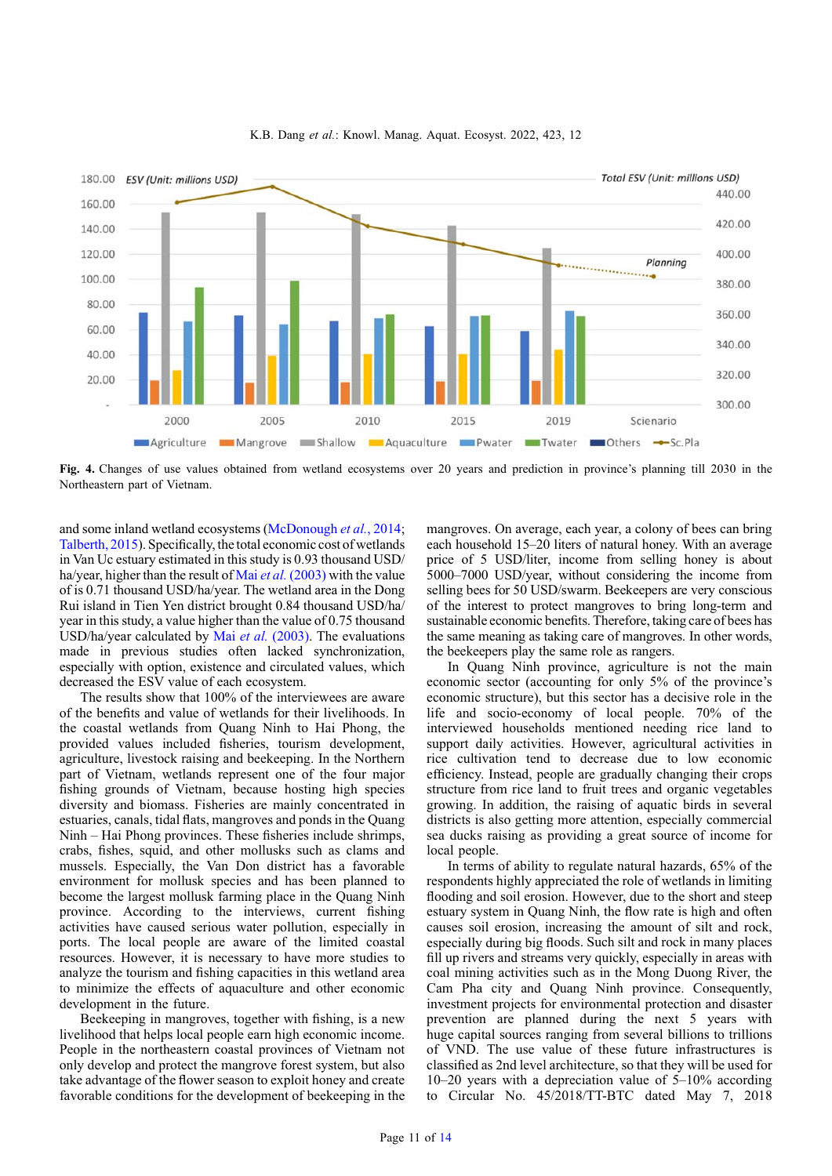<span id="page-10-0"></span>

Fig. 4. Changes of use values obtained from wetland ecosystems over 20 years and prediction in province's planning till 2030 in the Northeastern part of Vietnam.

and some inland wetland ecosystems ([McDonough](#page-12-0) et al., 2014; [Talberth, 2015\)](#page-13-0). Specifically, thetotal economic cost of wetlands in Van Uc estuary estimated in this study is 0.93 thousand USD/ ha/year, higher than the result of Mai *et al.* [\(2003\)](#page-12-0) with the value of is 0.71 thousand USD/ha/year. The wetland area in the Dong Rui island in Tien Yen district brought 0.84 thousand USD/ha/ year in this study, a value higher than the value of 0.75 thousand USD/ha/year calculated by Mai et al. [\(2003\)](#page-12-0). The evaluations made in previous studies often lacked synchronization, especially with option, existence and circulated values, which decreased the ESV value of each ecosystem.

The results show that 100% of the interviewees are aware of the benefits and value of wetlands for their livelihoods. In the coastal wetlands from Quang Ninh to Hai Phong, the provided values included fisheries, tourism development, agriculture, livestock raising and beekeeping. In the Northern part of Vietnam, wetlands represent one of the four major fishing grounds of Vietnam, because hosting high species diversity and biomass. Fisheries are mainly concentrated in estuaries, canals, tidal flats, mangroves and ponds in the Quang Ninh – Hai Phong provinces. These fisheries include shrimps, crabs, fishes, squid, and other mollusks such as clams and mussels. Especially, the Van Don district has a favorable environment for mollusk species and has been planned to become the largest mollusk farming place in the Quang Ninh province. According to the interviews, current fishing activities have caused serious water pollution, especially in ports. The local people are aware of the limited coastal resources. However, it is necessary to have more studies to analyze the tourism and fishing capacities in this wetland area to minimize the effects of aquaculture and other economic development in the future.

Beekeeping in mangroves, together with fishing, is a new livelihood that helps local people earn high economic income. People in the northeastern coastal provinces of Vietnam not only develop and protect the mangrove forest system, but also take advantage of the flower season to exploit honey and create favorable conditions for the development of beekeeping in the

mangroves. On average, each year, a colony of bees can bring each household 15–20 liters of natural honey. With an average price of 5 USD/liter, income from selling honey is about 5000–7000 USD/year, without considering the income from selling bees for 50 USD/swarm. Beekeepers are very conscious of the interest to protect mangroves to bring long-term and sustainable economic benefits. Therefore, taking care of bees has the same meaning as taking care of mangroves. In other words, the beekeepers play the same role as rangers.

In Quang Ninh province, agriculture is not the main economic sector (accounting for only 5% of the province's economic structure), but this sector has a decisive role in the life and socio-economy of local people. 70% of the interviewed households mentioned needing rice land to support daily activities. However, agricultural activities in rice cultivation tend to decrease due to low economic efficiency. Instead, people are gradually changing their crops structure from rice land to fruit trees and organic vegetables growing. In addition, the raising of aquatic birds in several districts is also getting more attention, especially commercial sea ducks raising as providing a great source of income for local people.

In terms of ability to regulate natural hazards, 65% of the respondents highly appreciated the role of wetlands in limiting flooding and soil erosion. However, due to the short and steep estuary system in Quang Ninh, the flow rate is high and often causes soil erosion, increasing the amount of silt and rock, especially during big floods. Such silt and rock in many places fill up rivers and streams very quickly, especially in areas with coal mining activities such as in the Mong Duong River, the Cam Pha city and Quang Ninh province. Consequently, investment projects for environmental protection and disaster prevention are planned during the next 5 years with huge capital sources ranging from several billions to trillions of VND. The use value of these future infrastructures is classified as 2nd level architecture, so that they will be used for 10–20 years with a depreciation value of 5–10% according to Circular No. 45/2018/TT-BTC dated May 7, 2018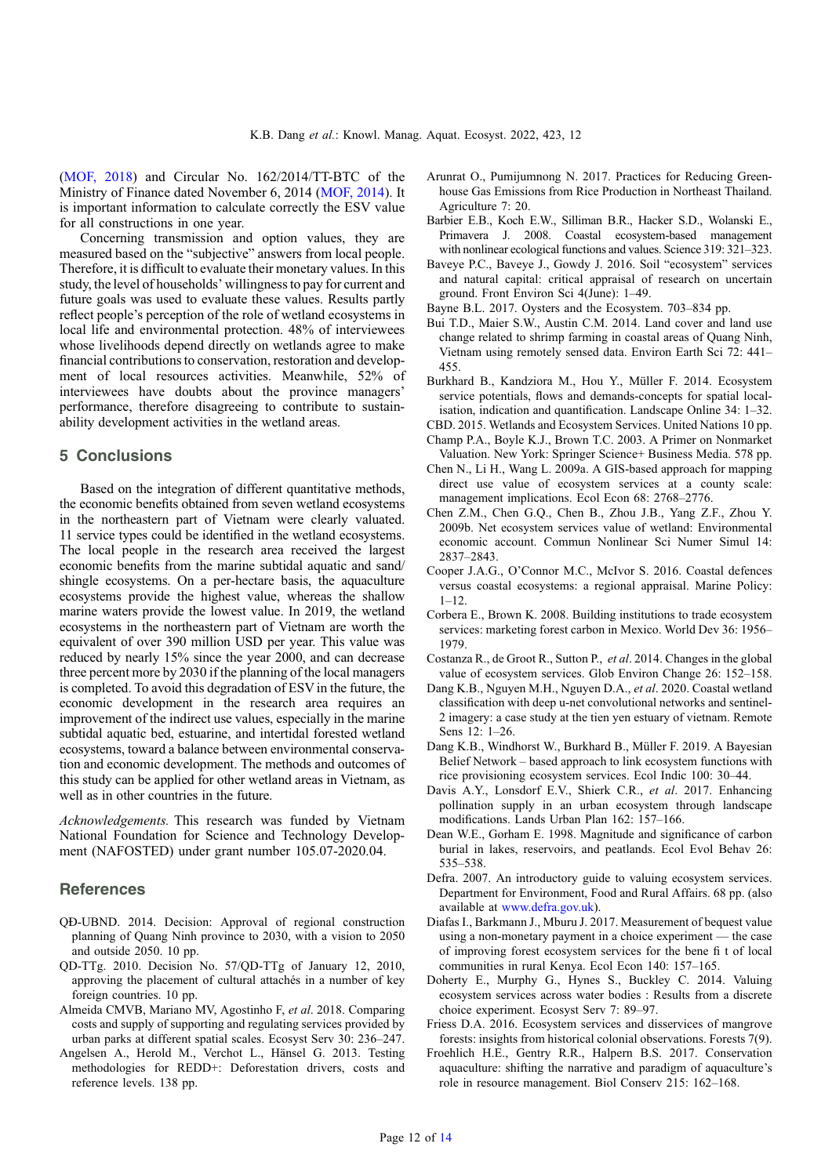<span id="page-11-0"></span>([MOF, 2018\)](#page-12-0) and Circular No. 162/2014/TT-BTC of the Ministry of Finance dated November 6, 2014 [\(MOF, 2014](#page-12-0)). It is important information to calculate correctly the ESV value for all constructions in one year.

Concerning transmission and option values, they are measured based on the "subjective" answers from local people. Therefore, it is difficult to evaluate their monetary values. In this study, the level of households' willingness to pay for current and future goals was used to evaluate these values. Results partly reflect people's perception of the role of wetland ecosystems in local life and environmental protection. 48% of interviewees whose livelihoods depend directly on wetlands agree to make financial contributions to conservation, restoration and development of local resources activities. Meanwhile, 52% of interviewees have doubts about the province managers' performance, therefore disagreeing to contribute to sustainability development activities in the wetland areas.

# 5 Conclusions

Based on the integration of different quantitative methods, the economic benefits obtained from seven wetland ecosystems in the northeastern part of Vietnam were clearly valuated. 11 service types could be identified in the wetland ecosystems. The local people in the research area received the largest economic benefits from the marine subtidal aquatic and sand/ shingle ecosystems. On a per-hectare basis, the aquaculture ecosystems provide the highest value, whereas the shallow marine waters provide the lowest value. In 2019, the wetland ecosystems in the northeastern part of Vietnam are worth the equivalent of over 390 million USD per year. This value was reduced by nearly 15% since the year 2000, and can decrease three percent more by 2030 if the planning of the local managers is completed. To avoid this degradation of ESV in the future, the economic development in the research area requires an improvement of the indirect use values, especially in the marine subtidal aquatic bed, estuarine, and intertidal forested wetland ecosystems, toward a balance between environmental conservation and economic development. The methods and outcomes of this study can be applied for other wetland areas in Vietnam, as well as in other countries in the future.

Acknowledgements. This research was funded by Vietnam National Foundation for Science and Technology Development (NAFOSTED) under grant number 105.07-2020.04.

## **References**

- QĐ-UBND. 2014. Decision: Approval of regional construction planning of Quang Ninh province to 2030, with a vision to 2050 and outside 2050. 10 pp.
- QD-TTg. 2010. Decision No. 57/QD-TTg of January 12, 2010, approving the placement of cultural attachés in a number of key foreign countries. 10 pp.
- Almeida CMVB, Mariano MV, Agostinho F, et al. 2018. Comparing costs and supply of supporting and regulating services provided by urban parks at different spatial scales. Ecosyst Serv 30: 236–247.
- Angelsen A., Herold M., Verchot L., Hänsel G. 2013. Testing methodologies for REDD+: Deforestation drivers, costs and reference levels. 138 pp.
- Arunrat O., Pumijumnong N. 2017. Practices for Reducing Greenhouse Gas Emissions from Rice Production in Northeast Thailand. Agriculture 7: 20.
- Barbier E.B., Koch E.W., Silliman B.R., Hacker S.D., Wolanski E., Primavera J. 2008. Coastal ecosystem-based management with nonlinear ecological functions and values. Science 319: 321–323.
- Baveye P.C., Baveye J., Gowdy J. 2016. Soil "ecosystem" services and natural capital: critical appraisal of research on uncertain ground. Front Environ Sci 4(June): 1–49.
- Bayne B.L. 2017. Oysters and the Ecosystem. 703–834 pp.
- Bui T.D., Maier S.W., Austin C.M. 2014. Land cover and land use change related to shrimp farming in coastal areas of Quang Ninh, Vietnam using remotely sensed data. Environ Earth Sci 72: 441– 455.
- Burkhard B., Kandziora M., Hou Y., Müller F. 2014. Ecosystem service potentials, flows and demands-concepts for spatial localisation, indication and quantification. Landscape Online 34: 1–32.
- CBD. 2015. Wetlands and Ecosystem Services. United Nations 10 pp. Champ P.A., Boyle K.J., Brown T.C. 2003. A Primer on Nonmarket
- Valuation. New York: Springer Science+ Business Media. 578 pp. Chen N., Li H., Wang L. 2009a. A GIS-based approach for mapping
- direct use value of ecosystem services at a county scale: management implications. Ecol Econ 68: 2768–2776.
- Chen Z.M., Chen G.Q., Chen B., Zhou J.B., Yang Z.F., Zhou Y. 2009b. Net ecosystem services value of wetland: Environmental economic account. Commun Nonlinear Sci Numer Simul 14: 2837–2843.
- Cooper J.A.G., O'Connor M.C., McIvor S. 2016. Coastal defences versus coastal ecosystems: a regional appraisal. Marine Policy:  $1 - 12$ .
- Corbera E., Brown K. 2008. Building institutions to trade ecosystem services: marketing forest carbon in Mexico. World Dev 36: 1956– 1979.
- Costanza R., de Groot R., Sutton P., et al. 2014. Changes in the global value of ecosystem services. Glob Environ Change 26: 152–158.
- Dang K.B., Nguyen M.H., Nguyen D.A., et al. 2020. Coastal wetland classification with deep u-net convolutional networks and sentinel-2 imagery: a case study at the tien yen estuary of vietnam. Remote Sens 12: 1–26.
- Dang K.B., Windhorst W., Burkhard B., Müller F. 2019. A Bayesian Belief Network – based approach to link ecosystem functions with rice provisioning ecosystem services. Ecol Indic 100: 30–44.
- Davis A.Y., Lonsdorf E.V., Shierk C.R., et al. 2017. Enhancing pollination supply in an urban ecosystem through landscape modifications. Lands Urban Plan 162: 157–166.
- Dean W.E., Gorham E. 1998. Magnitude and significance of carbon burial in lakes, reservoirs, and peatlands. Ecol Evol Behav 26: 535–538.
- Defra. 2007. An introductory guide to valuing ecosystem services. Department for Environment, Food and Rural Affairs. 68 pp. (also available at <www.defra.gov.uk>).
- Diafas I., Barkmann J., Mburu J. 2017. Measurement of bequest value using a non-monetary payment in a choice experiment — the case of improving forest ecosystem services for the bene fi t of local communities in rural Kenya. Ecol Econ 140: 157–165.
- Doherty E., Murphy G., Hynes S., Buckley C. 2014. Valuing ecosystem services across water bodies : Results from a discrete choice experiment. Ecosyst Serv 7: 89–97.
- Friess D.A. 2016. Ecosystem services and disservices of mangrove forests: insights from historical colonial observations. Forests 7(9).
- Froehlich H.E., Gentry R.R., Halpern B.S. 2017. Conservation aquaculture: shifting the narrative and paradigm of aquaculture's role in resource management. Biol Conserv 215: 162–168.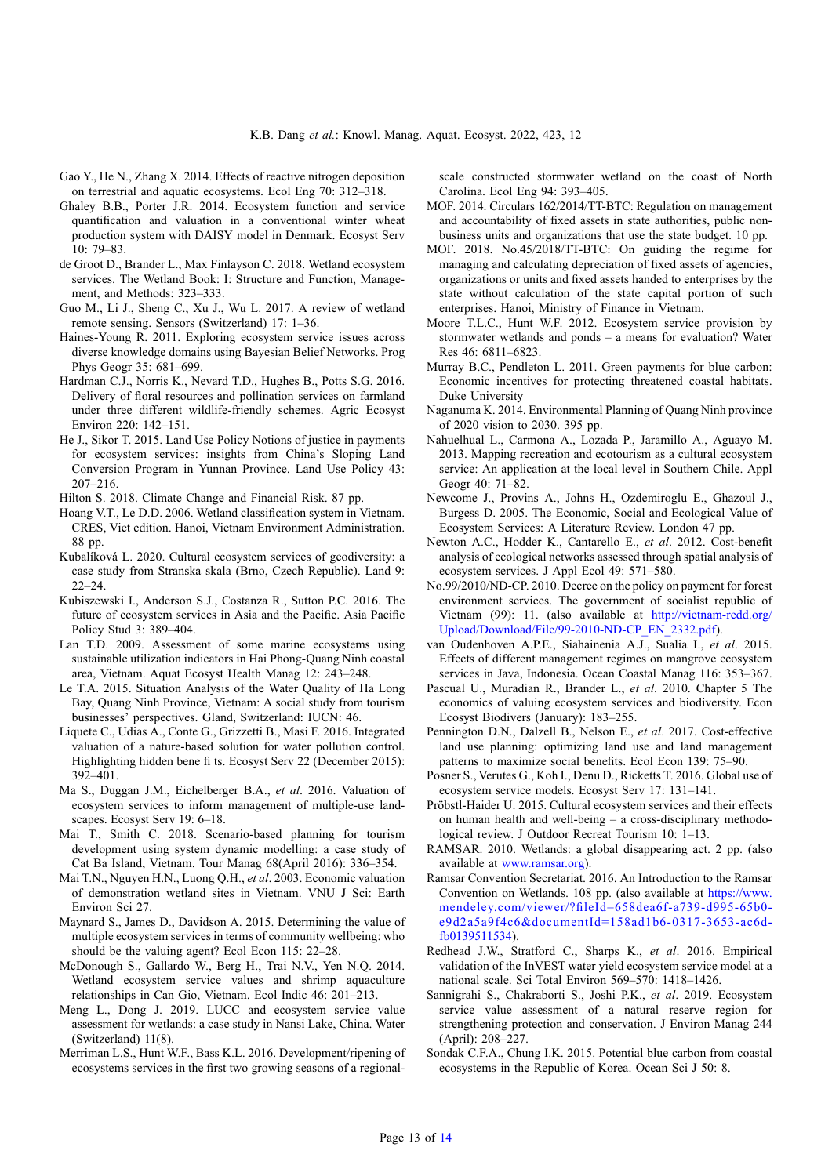- <span id="page-12-0"></span>Gao Y., He N., Zhang X. 2014. Effects of reactive nitrogen deposition on terrestrial and aquatic ecosystems. Ecol Eng 70: 312–318.
- Ghaley B.B., Porter J.R. 2014. Ecosystem function and service quantification and valuation in a conventional winter wheat production system with DAISY model in Denmark. Ecosyst Serv 10: 79–83.
- de Groot D., Brander L., Max Finlayson C. 2018. Wetland ecosystem services. The Wetland Book: I: Structure and Function, Management, and Methods: 323–333.
- Guo M., Li J., Sheng C., Xu J., Wu L. 2017. A review of wetland remote sensing. Sensors (Switzerland) 17: 1–36.
- Haines-Young R. 2011. Exploring ecosystem service issues across diverse knowledge domains using Bayesian Belief Networks. Prog Phys Geogr 35: 681–699.
- Hardman C.J., Norris K., Nevard T.D., Hughes B., Potts S.G. 2016. Delivery of floral resources and pollination services on farmland under three different wildlife-friendly schemes. Agric Ecosyst Environ 220: 142–151.
- He J., Sikor T. 2015. Land Use Policy Notions of justice in payments for ecosystem services: insights from China's Sloping Land Conversion Program in Yunnan Province. Land Use Policy 43: 207–216.
- Hilton S. 2018. Climate Change and Financial Risk. 87 pp.
- Hoang V.T., Le D.D. 2006. Wetland classification system in Vietnam. CRES, Viet edition. Hanoi, Vietnam Environment Administration. 88 pp.
- Kubalíková L. 2020. Cultural ecosystem services of geodiversity: a case study from Stranska skala (Brno, Czech Republic). Land 9:  $22 - 24$
- Kubiszewski I., Anderson S.J., Costanza R., Sutton P.C. 2016. The future of ecosystem services in Asia and the Pacific. Asia Pacific Policy Stud 3: 389–404.
- Lan T.D. 2009. Assessment of some marine ecosystems using sustainable utilization indicators in Hai Phong-Quang Ninh coastal area, Vietnam. Aquat Ecosyst Health Manag 12: 243–248.
- Le T.A. 2015. Situation Analysis of the Water Quality of Ha Long Bay, Quang Ninh Province, Vietnam: A social study from tourism businesses' perspectives. Gland, Switzerland: IUCN: 46.
- Liquete C., Udias A., Conte G., Grizzetti B., Masi F. 2016. Integrated valuation of a nature-based solution for water pollution control. Highlighting hidden bene fi ts. Ecosyst Serv 22 (December 2015): 392–401.
- Ma S., Duggan J.M., Eichelberger B.A., et al. 2016. Valuation of ecosystem services to inform management of multiple-use landscapes. Ecosyst Serv 19: 6–18.
- Mai T., Smith C. 2018. Scenario-based planning for tourism development using system dynamic modelling: a case study of Cat Ba Island, Vietnam. Tour Manag 68(April 2016): 336–354.
- Mai T.N., Nguyen H.N., Luong Q.H., et al. 2003. Economic valuation of demonstration wetland sites in Vietnam. VNU J Sci: Earth Environ Sci 27.
- Maynard S., James D., Davidson A. 2015. Determining the value of multiple ecosystem services in terms of community wellbeing: who should be the valuing agent? Ecol Econ 115: 22–28.
- McDonough S., Gallardo W., Berg H., Trai N.V., Yen N.Q. 2014. Wetland ecosystem service values and shrimp aquaculture relationships in Can Gio, Vietnam. Ecol Indic 46: 201–213.
- Meng L., Dong J. 2019. LUCC and ecosystem service value assessment for wetlands: a case study in Nansi Lake, China. Water (Switzerland) 11(8).
- Merriman L.S., Hunt W.F., Bass K.L. 2016. Development/ripening of ecosystems services in the first two growing seasons of a regional-

scale constructed stormwater wetland on the coast of North Carolina. Ecol Eng 94: 393–405.

- MOF. 2014. Circulars 162/2014/TT-BTC: Regulation on management and accountability of fixed assets in state authorities, public nonbusiness units and organizations that use the state budget. 10 pp.
- MOF. 2018. No.45/2018/TT-BTC: On guiding the regime for managing and calculating depreciation of fixed assets of agencies, organizations or units and fixed assets handed to enterprises by the state without calculation of the state capital portion of such enterprises. Hanoi, Ministry of Finance in Vietnam.
- Moore T.L.C., Hunt W.F. 2012. Ecosystem service provision by stormwater wetlands and ponds – a means for evaluation? Water Res 46: 6811–6823.
- Murray B.C., Pendleton L. 2011. Green payments for blue carbon: Economic incentives for protecting threatened coastal habitats. Duke University
- Naganuma K. 2014. Environmental Planning of Quang Ninh province of 2020 vision to 2030. 395 pp.
- Nahuelhual L., Carmona A., Lozada P., Jaramillo A., Aguayo M. 2013. Mapping recreation and ecotourism as a cultural ecosystem service: An application at the local level in Southern Chile. Appl Geogr 40: 71–82.
- Newcome J., Provins A., Johns H., Ozdemiroglu E., Ghazoul J., Burgess D. 2005. The Economic, Social and Ecological Value of Ecosystem Services: A Literature Review. London 47 pp.
- Newton A.C., Hodder K., Cantarello E., et al. 2012. Cost-benefit analysis of ecological networks assessed through spatial analysis of ecosystem services. J Appl Ecol 49: 571–580.
- No.99/2010/ND-CP. 2010. Decree on the policy on payment for forest environment services. The government of socialist republic of Vietnam (99): 11. (also available at [http://vietnam-redd.org/](http://vietnam-redd.org/Upload/Download/File/99-2010-ND-CP_EN_2332.pdf) [Upload/Download/File/99-2010-ND-CP\\_EN\\_2332.pdf](http://vietnam-redd.org/Upload/Download/File/99-2010-ND-CP_EN_2332.pdf)).
- van Oudenhoven A.P.E., Siahainenia A.J., Sualia I., et al. 2015. Effects of different management regimes on mangrove ecosystem services in Java, Indonesia. Ocean Coastal Manag 116: 353–367.
- Pascual U., Muradian R., Brander L., et al. 2010. Chapter 5 The economics of valuing ecosystem services and biodiversity. Econ Ecosyst Biodivers (January): 183–255.
- Pennington D.N., Dalzell B., Nelson E., et al. 2017. Cost-effective land use planning: optimizing land use and land management patterns to maximize social benefits. Ecol Econ 139: 75–90.
- Posner S., Verutes G., Koh I., Denu D., Ricketts T. 2016. Global use of ecosystem service models. Ecosyst Serv 17: 131–141.
- Pröbstl-Haider U. 2015. Cultural ecosystem services and their effects on human health and well-being – a cross-disciplinary methodological review. J Outdoor Recreat Tourism 10: 1–13.
- RAMSAR. 2010. Wetlands: a global disappearing act. 2 pp. (also available at <www.ramsar.org>).
- Ramsar Convention Secretariat. 2016. An Introduction to the Ramsar Convention on Wetlands. 108 pp. (also available at [https://www.](https://www.mendeley.com/viewer/?fileId=658dea6f-a739-d995-65b0-e9d2a5a9f4c6&documentId=158ad1b6-0317-3653-ac6d-fb0139511534) mendeley.com/viewer/?fi[leId=658dea6f-a739-d995-65b0](https://www.mendeley.com/viewer/?fileId=658dea6f-a739-d995-65b0-e9d2a5a9f4c6&documentId=158ad1b6-0317-3653-ac6d-fb0139511534) [e9d2a5a9f4c6&documentId=158ad1b6-0317-3653-ac6d](https://www.mendeley.com/viewer/?fileId=658dea6f-a739-d995-65b0-e9d2a5a9f4c6&documentId=158ad1b6-0317-3653-ac6d-fb0139511534)[fb0139511534](https://www.mendeley.com/viewer/?fileId=658dea6f-a739-d995-65b0-e9d2a5a9f4c6&documentId=158ad1b6-0317-3653-ac6d-fb0139511534)).
- Redhead J.W., Stratford C., Sharps K., et al. 2016. Empirical validation of the InVEST water yield ecosystem service model at a national scale. Sci Total Environ 569–570: 1418–1426.
- Sannigrahi S., Chakraborti S., Joshi P.K., et al. 2019. Ecosystem service value assessment of a natural reserve region for strengthening protection and conservation. J Environ Manag 244 (April): 208–227.
- Sondak C.F.A., Chung I.K. 2015. Potential blue carbon from coastal ecosystems in the Republic of Korea. Ocean Sci J 50: 8.